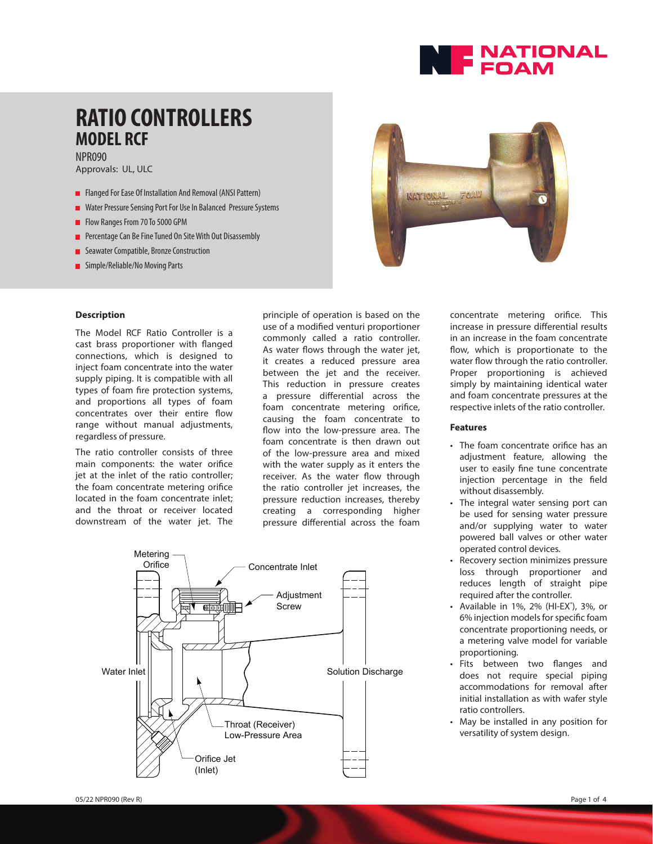

### **RATIO CONTROLLERS MODEL RCF** NPR090

Approvals: UL, ULC

- **Flanged For Ease Of Installation And Removal (ANSI Pattern)**
- Water Pressure Sensing Port For Use In Balanced Pressure Systems
- Flow Ranges From 70 To 5000 GPM
- **Percentage Can Be Fine Tuned On Site With Out Disassembly**
- **Seawater Compatible, Bronze Construction**
- Simple/Reliable/No Moving Parts

# NATIONAL FOAM

#### **Description**

The Model RCF Ratio Controller is a cast brass proportioner with flanged connections, which is designed to inject foam concentrate into the water supply piping. It is compatible with all types of foam fire protection systems, and proportions all types of foam concentrates over their entire flow range without manual adjustments, regardless of pressure.

The ratio controller consists of three main components: the water orifice jet at the inlet of the ratio controller; the foam concentrate metering orifice located in the foam concentrate inlet; and the throat or receiver located downstream of the water jet. The

principle of operation is based on the use of a modified venturi proportioner commonly called a ratio controller. As water flows through the water jet, it creates a reduced pressure area between the jet and the receiver. This reduction in pressure creates a pressure differential across the foam concentrate metering orifice, causing the foam concentrate to flow into the low-pressure area. The foam concentrate is then drawn out of the low-pressure area and mixed with the water supply as it enters the receiver. As the water flow through the ratio controller jet increases, the pressure reduction increases, thereby creating a corresponding higher pressure differential across the foam



concentrate metering orifice. This increase in pressure differential results in an increase in the foam concentrate flow, which is proportionate to the water flow through the ratio controller. Proper proportioning is achieved simply by maintaining identical water and foam concentrate pressures at the respective inlets of the ratio controller.

#### **Features**

- The foam concentrate orifice has an adjustment feature, allowing the user to easily fine tune concentrate injection percentage in the field without disassembly.
- The integral water sensing port can be used for sensing water pressure and/or supplying water to water powered ball valves or other water operated control devices.
- Recovery section minimizes pressure loss through proportioner and reduces length of straight pipe required after the controller.
- $\bullet$  Available in 1%, 2% (HI-EX<sup>®</sup>), 3%, or 6% injection models for specific foam concentrate proportioning needs, or a metering valve model for variable proportioning.
- Fits between two flanges and does not require special piping accommodations for removal after initial installation as with wafer style ratio controllers.
- May be installed in any position for versatility of system design.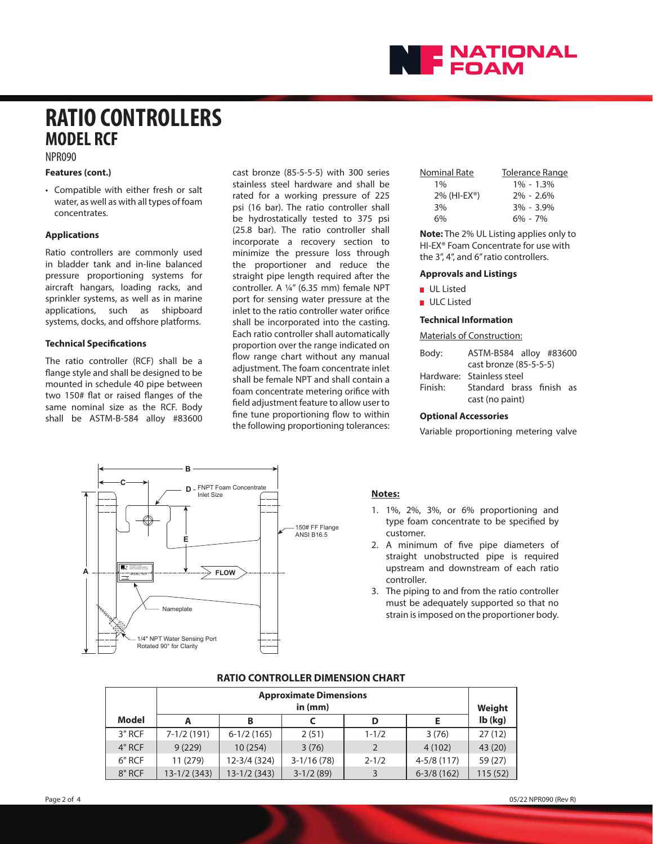

## **RATIO CONTROLLERS MODEL RCF**

NPR090

#### **Features (cont.)**

• Compatible with either fresh or salt water, as well as with all types of foam concentrates.

#### **Applications**

Ratio controllers are commonly used in bladder tank and in-line balanced pressure proportioning systems for aircraft hangars, loading racks, and sprinkler systems, as well as in marine applications, such as shipboard systems, docks, and offshore platforms.

#### **Technical Specifications**

The ratio controller (RCF) shall be a flange style and shall be designed to be mounted in schedule 40 pipe between two 150# flat or raised flanges of the same nominal size as the RCF. Body shall be ASTM-B-584 alloy #83600 cast bronze (85-5-5-5) with 300 series stainless steel hardware and shall be rated for a working pressure of 225 psi (16 bar). The ratio controller shall be hydrostatically tested to 375 psi (25.8 bar). The ratio controller shall incorporate a recovery section to minimize the pressure loss through the proportioner and reduce the straight pipe length required after the controller. A ¼" (6.35 mm) female NPT port for sensing water pressure at the inlet to the ratio controller water orifice shall be incorporated into the casting. Each ratio controller shall automatically proportion over the range indicated on flow range chart without any manual adjustment. The foam concentrate inlet shall be female NPT and shall contain a foam concentrate metering orifice with field adjustment feature to allow user to fine tune proportioning flow to within the following proportioning tolerances:

| <b>Nominal Rate</b>         | Tolerance Range |
|-----------------------------|-----------------|
| $1\%$                       | $1\% - 1.3\%$   |
| $2\%$ (HI-EX <sup>®</sup> ) | $2\% - 2.6\%$   |
| 3%                          | $3\% - 3.9\%$   |
| 6%                          | $6\% - 7\%$     |

**Note:** The 2% UL Listing applies only to HI-EX® Foam Concentrate for use with the 3", 4", and 6" ratio controllers.

#### **Approvals and Listings**

UL Listed

ULC Listed

#### **Technical Information**

Materials of Construction:

| Body:   | ASTM-B584 alloy #83600    |  |  |  |
|---------|---------------------------|--|--|--|
|         | cast bronze (85-5-5-5)    |  |  |  |
|         | Hardware: Stainless steel |  |  |  |
| Finish: | Standard brass finish as  |  |  |  |
|         | cast (no paint)           |  |  |  |

#### **Optional Accessories**

Variable proportioning metering valve



#### **Notes:**

- 1. 1%, 2%, 3%, or 6% proportioning and type foam concentrate to be specified by customer.
- 2. A minimum of five pipe diameters of straight unobstructed pipe is required upstream and downstream of each ratio controller.
- 3. The piping to and from the ratio controller must be adequately supported so that no strain is imposed on the proportioner body.

#### **RATIO CONTROLLER DIMENSION CHART**

|        | <b>Approximate Dimensions</b><br>in $(mm)$ |               |              |           | Weight         |           |
|--------|--------------------------------------------|---------------|--------------|-----------|----------------|-----------|
| Model  | А                                          | в             |              | D         |                | $Ib$ (kg) |
| 3" RCF | $7-1/2(191)$                               | $6-1/2(165)$  | 2(51)        | $1 - 1/2$ | 3(76)          | 27(12)    |
| 4" RCF | 9(229)                                     | 10(254)       | 3(76)        |           | 4(102)         | 43 (20)   |
| 6" RCF | 11 (279)                                   | 12-3/4 (324)  | $3-1/16(78)$ | $2 - 1/2$ | $4-5/8(117)$   | 59 (27)   |
| 8" RCF | $13-1/2(343)$                              | $13-1/2(343)$ | $3-1/2(89)$  |           | $6 - 3/8(162)$ | 115 (52)  |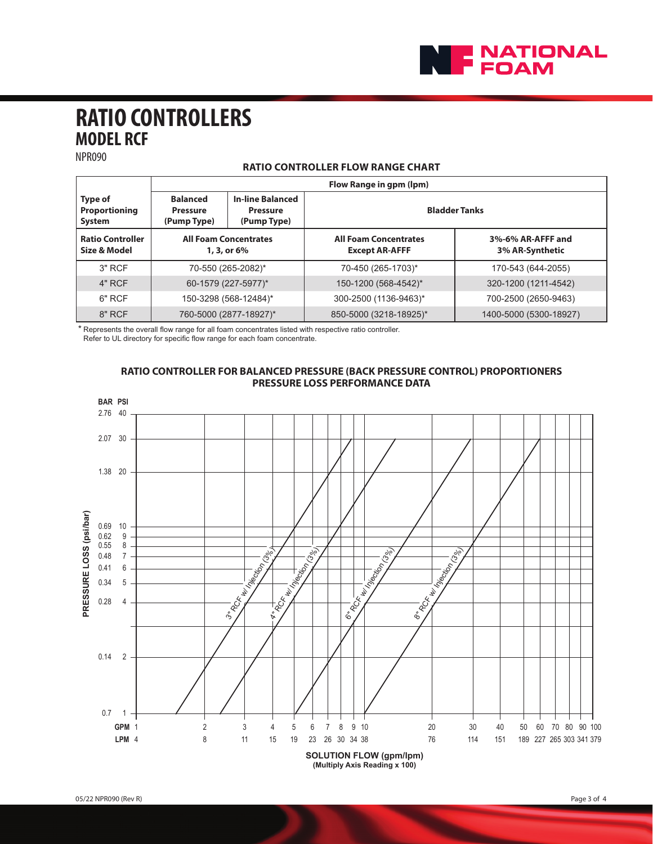

# **RATIO CONTROLLERS MODEL RCF**

NPR090

#### **RATIO CONTROLLER FLOW RANGE CHART**

|                                                  | Flow Range in gpm (lpm)                           |                                                           |                                                       |                                      |  |
|--------------------------------------------------|---------------------------------------------------|-----------------------------------------------------------|-------------------------------------------------------|--------------------------------------|--|
| <b>Type of</b><br><b>Proportioning</b><br>System | <b>Balanced</b><br><b>Pressure</b><br>(Pump Type) | <b>In-line Balanced</b><br><b>Pressure</b><br>(Pump Type) | <b>Bladder Tanks</b>                                  |                                      |  |
| <b>Ratio Controller</b><br>Size & Model          | <b>All Foam Concentrates</b><br>1, 3, or 6%       |                                                           | <b>All Foam Concentrates</b><br><b>Except AR-AFFF</b> | 3%-6% AR-AFFF and<br>3% AR-Synthetic |  |
| $3"$ RCF                                         |                                                   | 70-550 (265-2082)*                                        | 70-450 (265-1703)*                                    | 170-543 (644-2055)                   |  |
| 4" RCF                                           |                                                   | 60-1579 (227-5977)*                                       | 150-1200 (568-4542)*                                  | 320-1200 (1211-4542)                 |  |
| 6" RCF                                           | 150-3298 (568-12484)*                             |                                                           | 300-2500 (1136-9463)*                                 | 700-2500 (2650-9463)                 |  |
| 8" RCF                                           | 760-5000 (2877-18927)*                            |                                                           | 850-5000 (3218-18925)*                                | 1400-5000 (5300-18927)               |  |

\* Represents the overall flow range for all foam concentrates listed with respective ratio controller.

Refer to UL directory for specific flow range for each foam concentrate.